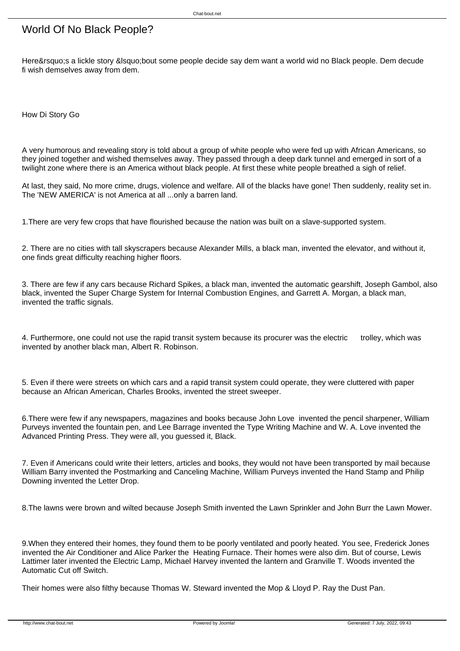## World Of No Black People?

Here's a lickle story 'bout some people decide say dem want a world wid no Black people. Dem decude fi wish demselves away from dem.

How Di Story Go

A very humorous and revealing story is told about a group of white people who were fed up with African Americans, so they joined together and wished themselves away. They passed through a deep dark tunnel and emerged in sort of a twilight zone where there is an America without black people. At first these white people breathed a sigh of relief.

At last, they said, No more crime, drugs, violence and welfare. All of the blacks have gone! Then suddenly, reality set in. The 'NEW AMERICA' is not America at all ...only a barren land.

1.There are very few crops that have flourished because the nation was built on a slave-supported system.

2. There are no cities with tall skyscrapers because Alexander Mills, a black man, invented the elevator, and without it, one finds great difficulty reaching higher floors.

3. There are few if any cars because Richard Spikes, a black man, invented the automatic gearshift, Joseph Gambol, also black, invented the Super Charge System for Internal Combustion Engines, and Garrett A. Morgan, a black man, invented the traffic signals.

4. Furthermore, one could not use the rapid transit system because its procurer was the electric trolley, which was invented by another black man, Albert R. Robinson.

5. Even if there were streets on which cars and a rapid transit system could operate, they were cluttered with paper because an African American, Charles Brooks, invented the street sweeper.

6.There were few if any newspapers, magazines and books because John Love invented the pencil sharpener, William Purveys invented the fountain pen, and Lee Barrage invented the Type Writing Machine and W. A. Love invented the Advanced Printing Press. They were all, you guessed it, Black.

7. Even if Americans could write their letters, articles and books, they would not have been transported by mail because William Barry invented the Postmarking and Canceling Machine, William Purveys invented the Hand Stamp and Philip Downing invented the Letter Drop.

8.The lawns were brown and wilted because Joseph Smith invented the Lawn Sprinkler and John Burr the Lawn Mower.

9.When they entered their homes, they found them to be poorly ventilated and poorly heated. You see, Frederick Jones invented the Air Conditioner and Alice Parker the Heating Furnace. Their homes were also dim. But of course, Lewis Lattimer later invented the Electric Lamp, Michael Harvey invented the lantern and Granville T. Woods invented the Automatic Cut off Switch.

Their homes were also filthy because Thomas W. Steward invented the Mop & Lloyd P. Ray the Dust Pan.